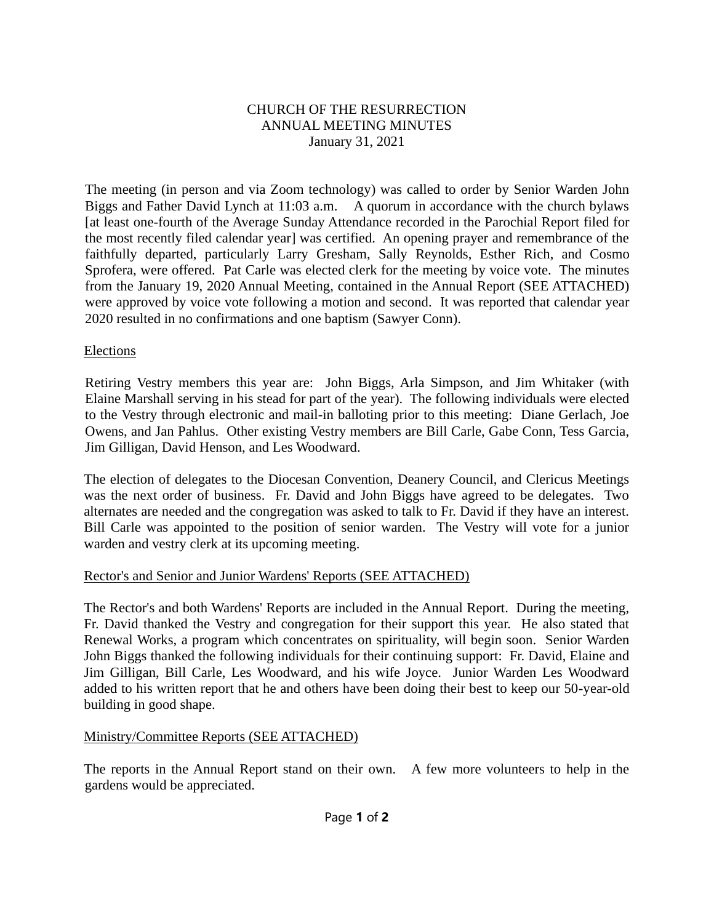# CHURCH OF THE RESURRECTION ANNUAL MEETING MINUTES January 31, 2021

The meeting (in person and via Zoom technology) was called to order by Senior Warden John Biggs and Father David Lynch at 11:03 a.m. A quorum in accordance with the church bylaws [at least one-fourth of the Average Sunday Attendance recorded in the Parochial Report filed for the most recently filed calendar year] was certified. An opening prayer and remembrance of the faithfully departed, particularly Larry Gresham, Sally Reynolds, Esther Rich, and Cosmo Sprofera, were offered. Pat Carle was elected clerk for the meeting by voice vote. The minutes from the January 19, 2020 Annual Meeting, contained in the Annual Report (SEE ATTACHED) were approved by voice vote following a motion and second. It was reported that calendar year 2020 resulted in no confirmations and one baptism (Sawyer Conn).

#### Elections

Retiring Vestry members this year are: John Biggs, Arla Simpson, and Jim Whitaker (with Elaine Marshall serving in his stead for part of the year). The following individuals were elected to the Vestry through electronic and mail-in balloting prior to this meeting: Diane Gerlach, Joe Owens, and Jan Pahlus. Other existing Vestry members are Bill Carle, Gabe Conn, Tess Garcia, Jim Gilligan, David Henson, and Les Woodward.

The election of delegates to the Diocesan Convention, Deanery Council, and Clericus Meetings was the next order of business. Fr. David and John Biggs have agreed to be delegates. Two alternates are needed and the congregation was asked to talk to Fr. David if they have an interest. Bill Carle was appointed to the position of senior warden. The Vestry will vote for a junior warden and vestry clerk at its upcoming meeting.

# Rector's and Senior and Junior Wardens' Reports (SEE ATTACHED)

The Rector's and both Wardens' Reports are included in the Annual Report. During the meeting, Fr. David thanked the Vestry and congregation for their support this year. He also stated that Renewal Works, a program which concentrates on spirituality, will begin soon. Senior Warden John Biggs thanked the following individuals for their continuing support: Fr. David, Elaine and Jim Gilligan, Bill Carle, Les Woodward, and his wife Joyce. Junior Warden Les Woodward added to his written report that he and others have been doing their best to keep our 50-year-old building in good shape.

# Ministry/Committee Reports (SEE ATTACHED)

The reports in the Annual Report stand on their own. A few more volunteers to help in the gardens would be appreciated.